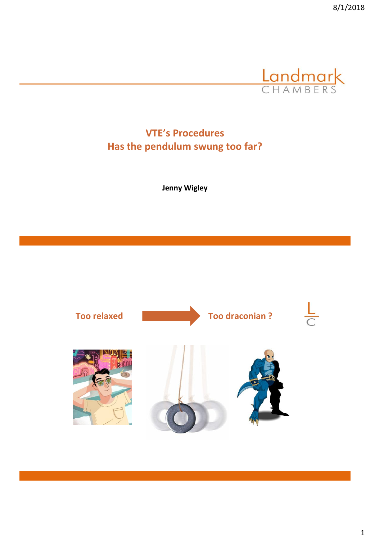

**VTE's Procedures Has the pendulum swung too far?**

**Jenny Wigley**

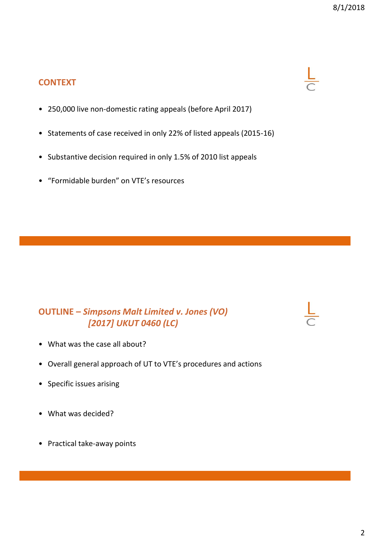#### **CONTEXT**

- 250,000 live non-domestic rating appeals (before April 2017)
- Statements of case received in only 22% of listed appeals (2015-16)
- Substantive decision required in only 1.5% of 2010 list appeals
- "Formidable burden" on VTE's resources

#### **OUTLINE –** *Simpsons Malt Limited v. Jones (VO) [2017] UKUT 0460 (LC)*

- What was the case all about?
- Overall general approach of UT to VTE's procedures and actions
- Specific issues arising
- What was decided?
- Practical take-away points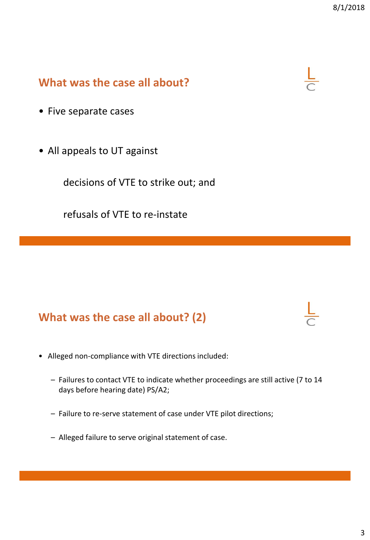#### **What was the case all about?**

- Five separate cases
- All appeals to UT against

decisions of VTE to strike out; and

refusals of VTE to re-instate

### **What was the case all about? (2)**

- Alleged non-compliance with VTE directions included:
	- Failures to contact VTE to indicate whether proceedings are still active (7 to 14 days before hearing date) PS/A2;
	- Failure to re-serve statement of case under VTE pilot directions;
	- Alleged failure to serve original statement of case.



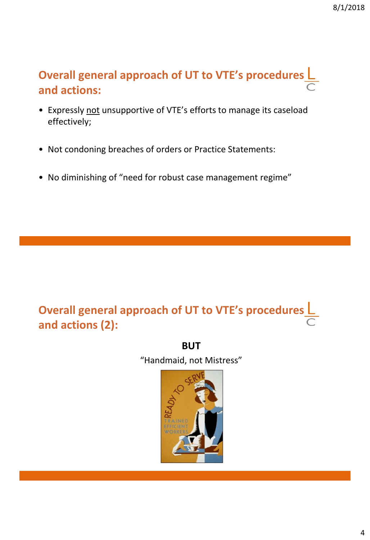# **Overall general approach of UT to VTE's procedures and actions:**

- Expressly not unsupportive of VTE's efforts to manage its caseload effectively;
- Not condoning breaches of orders or Practice Statements:
- No diminishing of "need for robust case management regime"

# **Overall general approach of UT to VTE's procedures and actions (2):**

**BUT** "Handmaid, not Mistress"

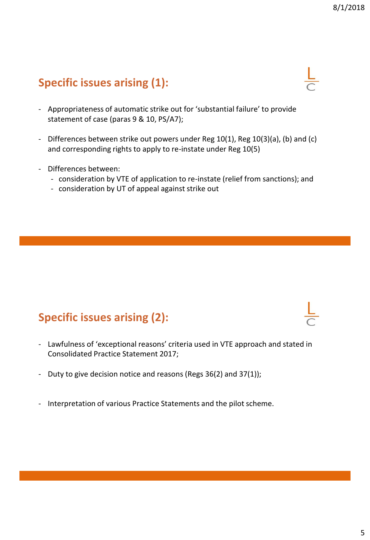# **Specific issues arising (1):**

- Appropriateness of automatic strike out for 'substantial failure' to provide statement of case (paras 9 & 10, PS/A7);
- Differences between strike out powers under Reg 10(1), Reg 10(3)(a), (b) and (c) and corresponding rights to apply to re-instate under Reg 10(5)
- Differences between:
	- consideration by VTE of application to re-instate (relief from sanctions); and
	- consideration by UT of appeal against strike out

# **Specific issues arising (2):**

- Lawfulness of 'exceptional reasons' criteria used in VTE approach and stated in Consolidated Practice Statement 2017;
- Duty to give decision notice and reasons (Regs 36(2) and 37(1));
- Interpretation of various Practice Statements and the pilot scheme.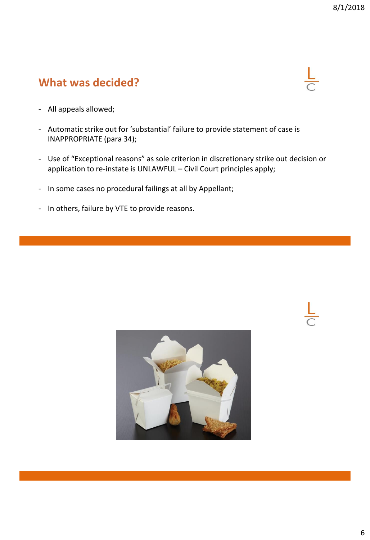### **What was decided?**



- All appeals allowed;
- Automatic strike out for 'substantial' failure to provide statement of case is INAPPROPRIATE (para 34);
- Use of "Exceptional reasons" as sole criterion in discretionary strike out decision or application to re-instate is UNLAWFUL – Civil Court principles apply;
- In some cases no procedural failings at all by Appellant;
- In others, failure by VTE to provide reasons.

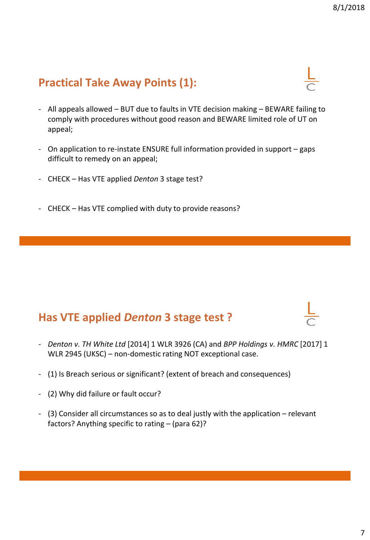# **Practical Take Away Points (1):**

- All appeals allowed BUT due to faults in VTE decision making BEWARE failing to comply with procedures without good reason and BEWARE limited role of UT on appeal;
- On application to re-instate ENSURE full information provided in support gaps difficult to remedy on an appeal;
- CHECK Has VTE applied *Denton* 3 stage test?
- CHECK Has VTE complied with duty to provide reasons?

#### **Has VTE applied** *Denton* **3 stage test ?**

- *Denton v. TH White Ltd* [2014] 1 WLR 3926 (CA) and *BPP Holdings v. HMRC* [2017] 1 WLR 2945 (UKSC) – non-domestic rating NOT exceptional case.
- (1) Is Breach serious or significant? (extent of breach and consequences)
- (2) Why did failure or fault occur?
- (3) Consider all circumstances so as to deal justly with the application relevant factors? Anything specific to rating – (para 62)?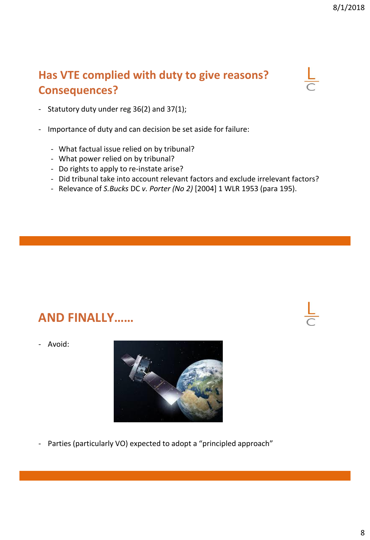# **Has VTE complied with duty to give reasons? Consequences?**



- Statutory duty under reg 36(2) and 37(1);
- Importance of duty and can decision be set aside for failure:
	- What factual issue relied on by tribunal?
	- What power relied on by tribunal?
	- Do rights to apply to re-instate arise?
	- Did tribunal take into account relevant factors and exclude irrelevant factors?
	- Relevance of *S.Bucks* DC *v. Porter (No 2)* [2004] 1 WLR 1953 (para 195).

# **AND FINALLY……**

- Avoid:



- Parties (particularly VO) expected to adopt a "principled approach"